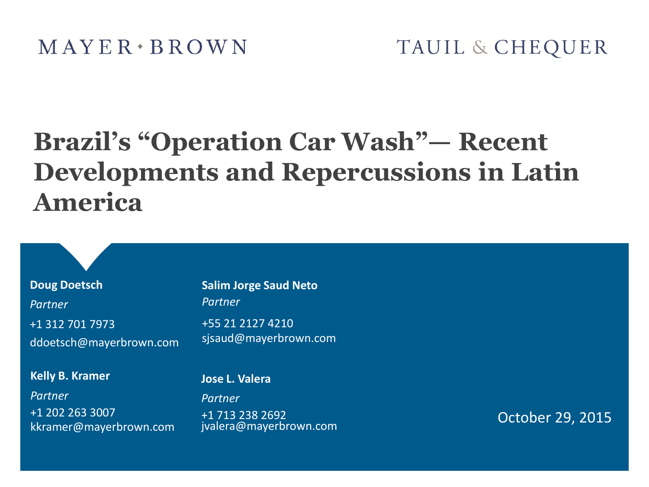# **Brazil's "Operation Car Wash"— Recent Developments and Repercussions in Latin America**

**Doug Doetsch** *Partner* +1 312 701 7973 ddoetsch@mayerbrown.com

#### **Kelly B. Kramer**

*Partner* +1 202 263 3007 kkramer@mayerbrown.com **Salim Jorge Saud Neto** *Partner*

+55 21 2127 4210 sjsaud@mayerbrown.com

#### **Jose L. Valera**

*Partner* +1 713 238 2692 jvalera@mayerbrown.com

October 29, 2015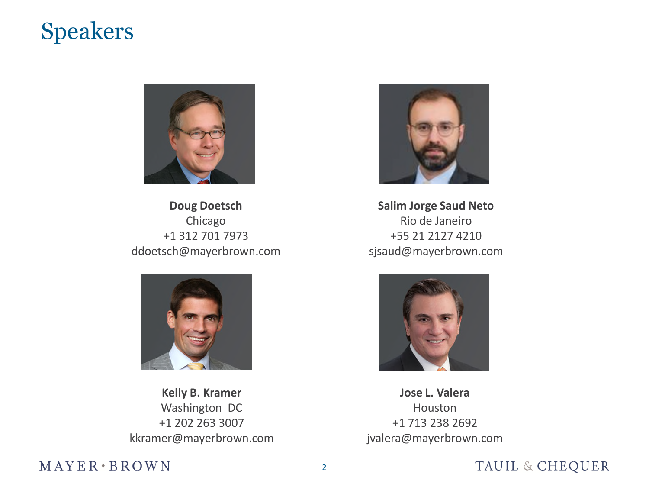### Speakers



**Doug Doetsch** Chicago +1 312 701 7973 ddoetsch@mayerbrown.com



**Kelly B. Kramer** Washington DC +1 202 263 3007 kkramer@mayerbrown.com



**Salim Jorge Saud Neto** Rio de Janeiro +55 21 2127 4210 sjsaud@mayerbrown.com



**Jose L. Valera** Houston +1 713 238 2692 jvalera@mayerbrown.com

#### $MAYER*BROWN$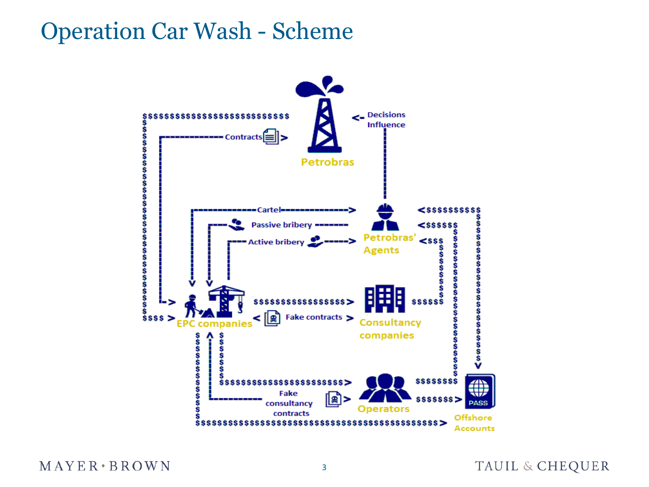## Operation Car Wash - Scheme



 $MAYER*BROWN$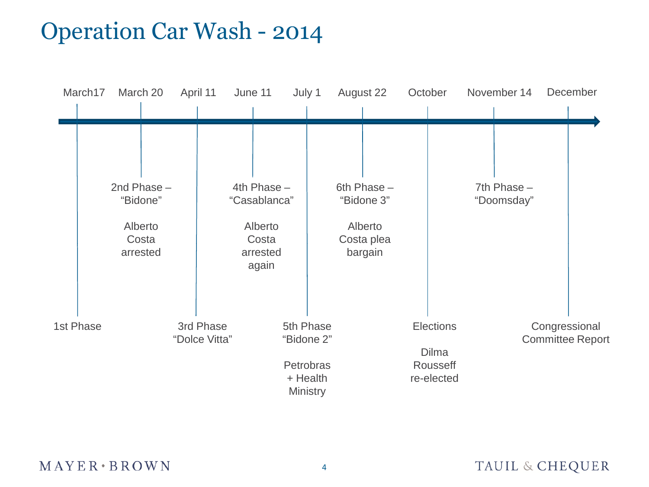# Operation Car Wash - 2014

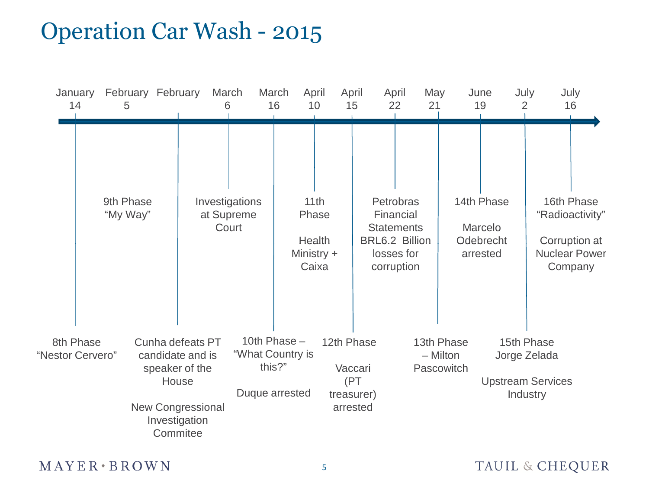# Operation Car Wash - 2015



 $M$  AYER  $\cdot$  BROWN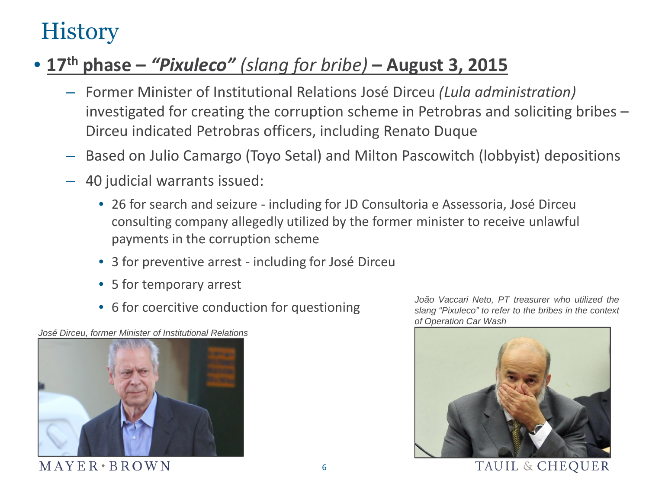# **History**

### • **17th phase –** *"Pixuleco" (slang for bribe)* **– August 3, 2015**

- Former Minister of Institutional Relations José Dirceu *(Lula administration)* investigated for creating the corruption scheme in Petrobras and soliciting bribes – Dirceu indicated Petrobras officers, including Renato Duque
- Based on Julio Camargo (Toyo Setal) and Milton Pascowitch (lobbyist) depositions
- 40 judicial warrants issued:
	- 26 for search and seizure including for JD Consultoria e Assessoria, José Dirceu consulting company allegedly utilized by the former minister to receive unlawful payments in the corruption scheme
	- 3 for preventive arrest including for José Dirceu
	- 5 for temporary arrest
	- 6 for coercitive conduction for questioning

*José Dirceu, former Minister of Institutional Relations*



*João Vaccari Neto, PT treasurer who utilized the slang "Pixuleco" to refer to the bribes in the context of Operation Car Wash*

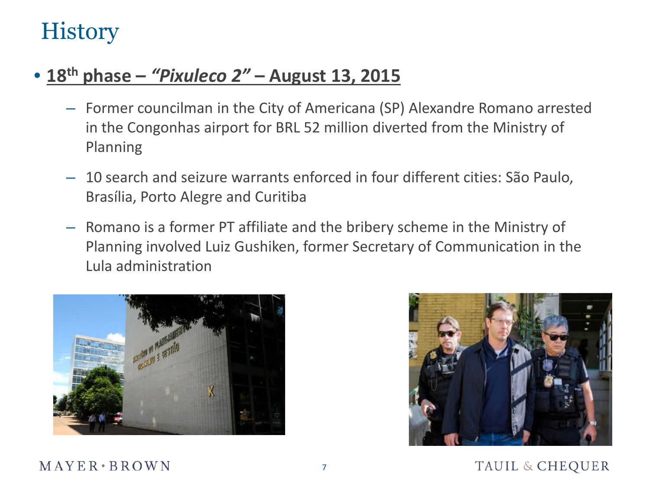# **History**

### • **18th phase –** *"Pixuleco 2"* **– August 13, 2015**

- Former councilman in the City of Americana (SP) Alexandre Romano arrested in the Congonhas airport for BRL 52 million diverted from the Ministry of Planning
- 10 search and seizure warrants enforced in four different cities: São Paulo, Brasília, Porto Alegre and Curitiba
- Romano is a former PT affiliate and the bribery scheme in the Ministry of Planning involved Luiz Gushiken, former Secretary of Communication in the Lula administration



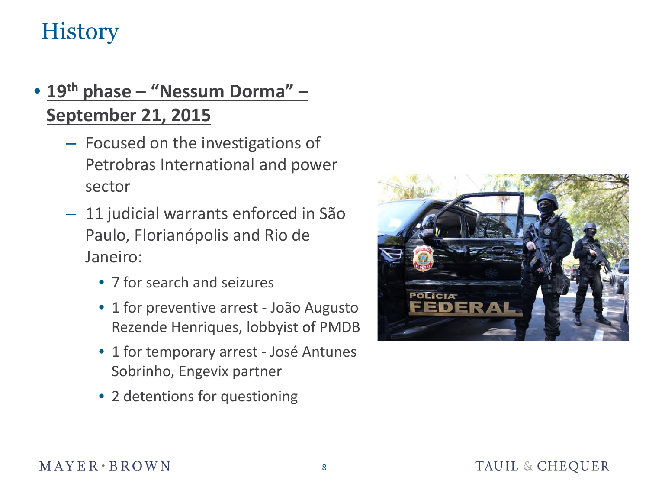# **History**

### • **19th phase – "Nessum Dorma" – September 21, 2015**

- Focused on the investigations of Petrobras International and power sector
- 11 judicial warrants enforced in São Paulo, Florianópolis and Rio de Janeiro:
	- 7 for search and seizures
	- 1 for preventive arrest João Augusto Rezende Henriques, lobbyist of PMDB
	- 1 for temporary arrest José Antunes Sobrinho, Engevix partner
	- 2 detentions for questioning

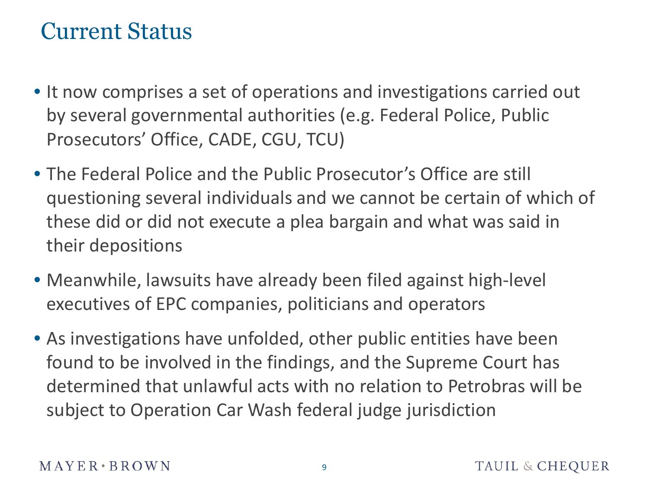## Current Status

- It now comprises a set of operations and investigations carried out by several governmental authorities (e.g. Federal Police, Public Prosecutors' Office, CADE, CGU, TCU)
- The Federal Police and the Public Prosecutor's Office are still questioning several individuals and we cannot be certain of which of these did or did not execute a plea bargain and what was said in their depositions
- Meanwhile, lawsuits have already been filed against high-level executives of EPC companies, politicians and operators
- As investigations have unfolded, other public entities have been found to be involved in the findings, and the Supreme Court has determined that unlawful acts with no relation to Petrobras will be subject to Operation Car Wash federal judge jurisdiction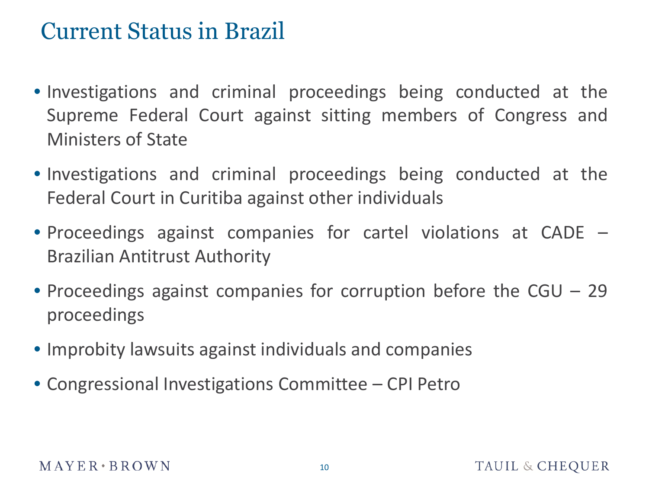## Current Status in Brazil

- Investigations and criminal proceedings being conducted at the Supreme Federal Court against sitting members of Congress and Ministers of State
- Investigations and criminal proceedings being conducted at the Federal Court in Curitiba against other individuals
- Proceedings against companies for cartel violations at CADE Brazilian Antitrust Authority
- Proceedings against companies for corruption before the CGU 29 proceedings
- Improbity lawsuits against individuals and companies
- Congressional Investigations Committee CPI Petro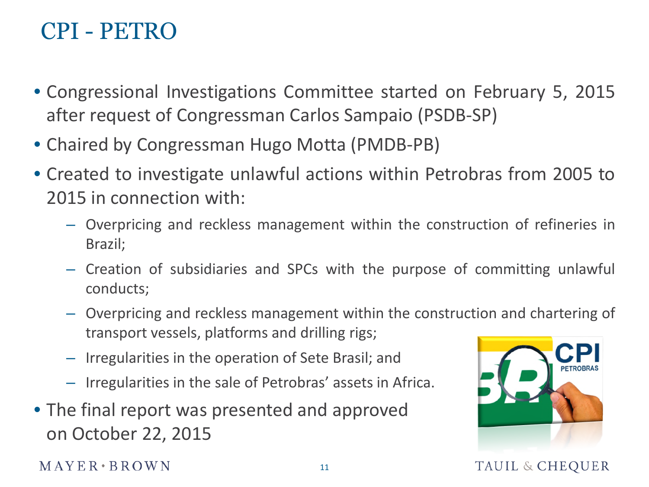# CPI - PETRO

- Congressional Investigations Committee started on February 5, 2015 after request of Congressman Carlos Sampaio (PSDB-SP)
- Chaired by Congressman Hugo Motta (PMDB-PB)
- Created to investigate unlawful actions within Petrobras from 2005 to 2015 in connection with:
	- Overpricing and reckless management within the construction of refineries in Brazil;
	- Creation of subsidiaries and SPCs with the purpose of committing unlawful conducts;
	- Overpricing and reckless management within the construction and chartering of transport vessels, platforms and drilling rigs;
	- Irregularities in the operation of Sete Brasil; and
	- Irregularities in the sale of Petrobras' assets in Africa.
- The final report was presented and approved on October 22, 2015



**TAUIL & CHEQUER** 

 $M$  A Y E R  $\cdot$  B R O W N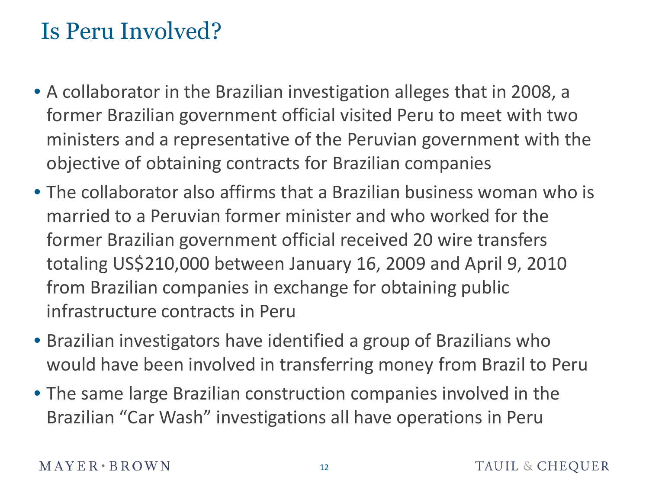# Is Peru Involved?

- A collaborator in the Brazilian investigation alleges that in 2008, a former Brazilian government official visited Peru to meet with two ministers and a representative of the Peruvian government with the objective of obtaining contracts for Brazilian companies
- The collaborator also affirms that a Brazilian business woman who is married to a Peruvian former minister and who worked for the former Brazilian government official received 20 wire transfers totaling US\$210,000 between January 16, 2009 and April 9, 2010 from Brazilian companies in exchange for obtaining public infrastructure contracts in Peru
- Brazilian investigators have identified a group of Brazilians who would have been involved in transferring money from Brazil to Peru
- The same large Brazilian construction companies involved in the Brazilian "Car Wash" investigations all have operations in Peru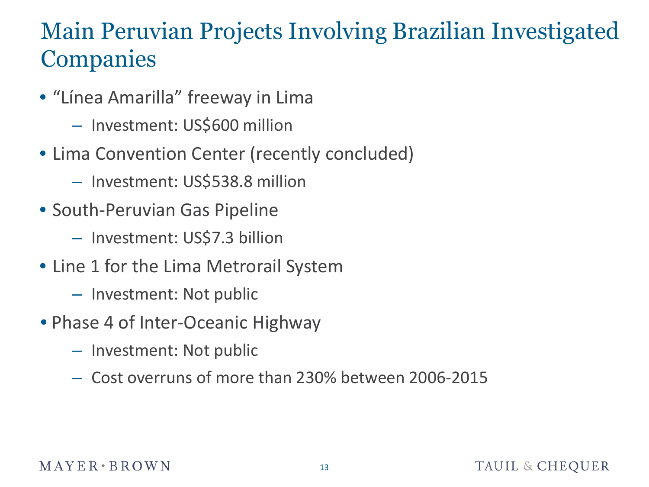# Main Peruvian Projects Involving Brazilian Investigated **Companies**

- "Línea Amarilla" freeway in Lima
	- Investment: US\$600 million
- Lima Convention Center (recently concluded)
	- Investment: US\$538.8 million
- South-Peruvian Gas Pipeline
	- Investment: US\$7.3 billion
- Line 1 for the Lima Metrorail System
	- Investment: Not public
- Phase 4 of Inter-Oceanic Highway
	- Investment: Not public
	- Cost overruns of more than 230% between 2006-2015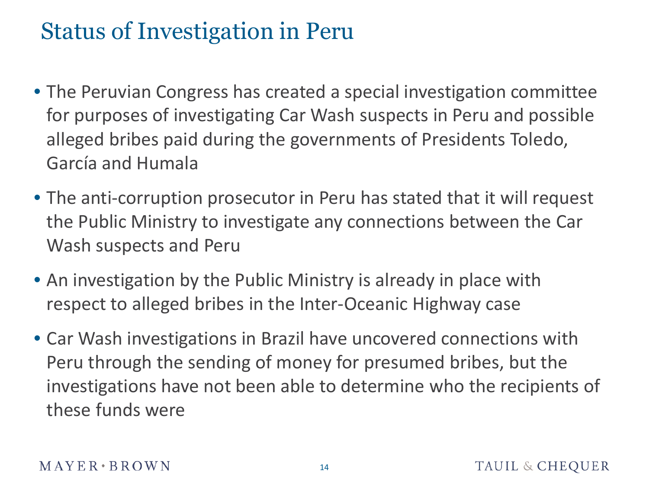# Status of Investigation in Peru

- The Peruvian Congress has created a special investigation committee for purposes of investigating Car Wash suspects in Peru and possible alleged bribes paid during the governments of Presidents Toledo, García and Humala
- The anti-corruption prosecutor in Peru has stated that it will request the Public Ministry to investigate any connections between the Car Wash suspects and Peru
- An investigation by the Public Ministry is already in place with respect to alleged bribes in the Inter-Oceanic Highway case
- Car Wash investigations in Brazil have uncovered connections with Peru through the sending of money for presumed bribes, but the investigations have not been able to determine who the recipients of these funds were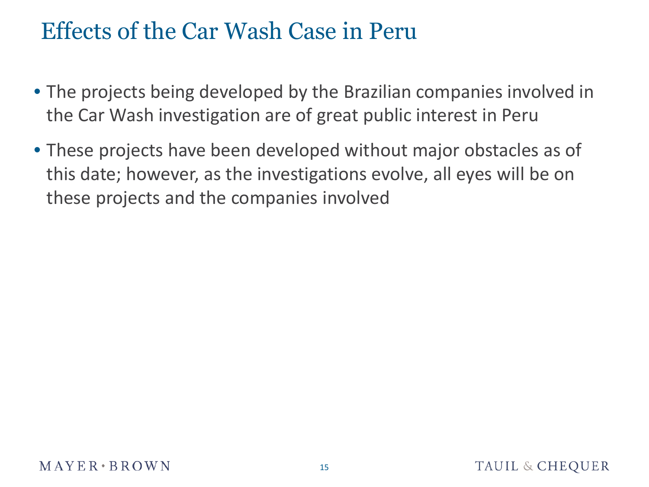# Effects of the Car Wash Case in Peru

- The projects being developed by the Brazilian companies involved in the Car Wash investigation are of great public interest in Peru
- These projects have been developed without major obstacles as of this date; however, as the investigations evolve, all eyes will be on these projects and the companies involved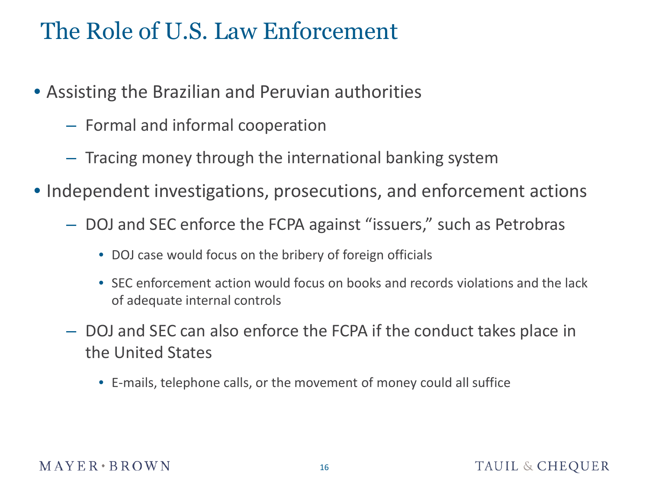# The Role of U.S. Law Enforcement

- Assisting the Brazilian and Peruvian authorities
	- Formal and informal cooperation
	- Tracing money through the international banking system
- Independent investigations, prosecutions, and enforcement actions
	- DOJ and SEC enforce the FCPA against "issuers," such as Petrobras
		- DOJ case would focus on the bribery of foreign officials
		- SEC enforcement action would focus on books and records violations and the lack of adequate internal controls
	- DOJ and SEC can also enforce the FCPA if the conduct takes place in the United States
		- E-mails, telephone calls, or the movement of money could all suffice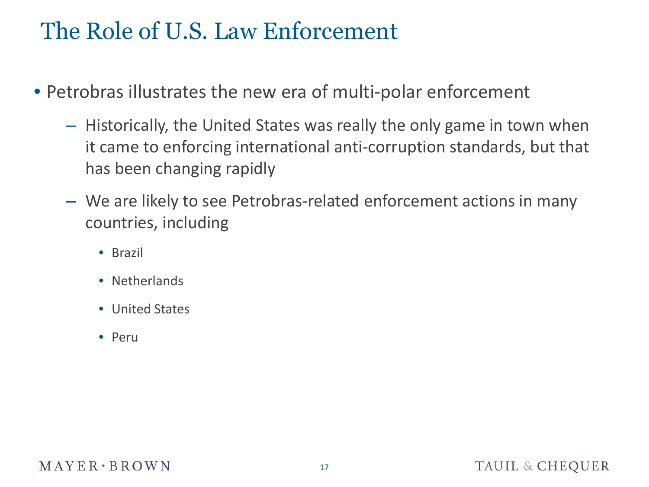# The Role of U.S. Law Enforcement

- Petrobras illustrates the new era of multi-polar enforcement
	- Historically, the United States was really the only game in town when it came to enforcing international anti-corruption standards, but that has been changing rapidly
	- We are likely to see Petrobras-related enforcement actions in many countries, including
		- Brazil
		- Netherlands
		- United States
		- Peru

### $M$  A Y E R  $\cdot$  B R O W N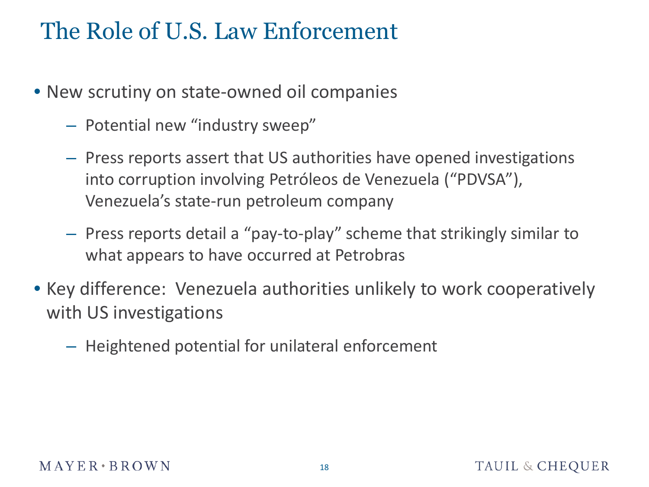# The Role of U.S. Law Enforcement

- New scrutiny on state-owned oil companies
	- Potential new "industry sweep"
	- Press reports assert that US authorities have opened investigations into corruption involving Petróleos de Venezuela ("PDVSA"), Venezuela's state-run petroleum company
	- Press reports detail a "pay-to-play" scheme that strikingly similar to what appears to have occurred at Petrobras
- Key difference: Venezuela authorities unlikely to work cooperatively with US investigations
	- Heightened potential for unilateral enforcement